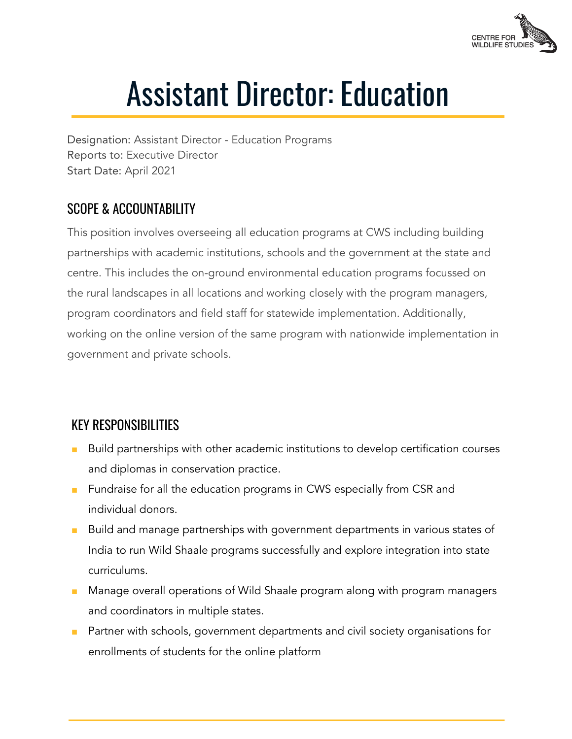

# Assistant Director: Education

Designation: Assistant Director - Education Programs Reports to: Executive Director Start Date: April 2021

### SCOPE & ACCOUNTABILITY

This position involves overseeing all education programs at CWS including building partnerships with academic institutions, schools and the government at the state and centre. This includes the on-ground environmental education programs focussed on the rural landscapes in all locations and working closely with the program managers, program coordinators and field staff for statewide implementation. Additionally, working on the online version of the same program with nationwide implementation in government and private schools.

## KEY RESPONSIBILITIES

- Build partnerships with other academic institutions to develop certification courses and diplomas in conservation practice.
- Fundraise for all the education programs in CWS especially from CSR and individual donors.
- Build and manage partnerships with government departments in various states of India to run Wild Shaale programs successfully and explore integration into state curriculums.
- Manage overall operations of Wild Shaale program along with program managers and coordinators in multiple states.
- Partner with schools, government departments and civil society organisations for enrollments of students for the online platform